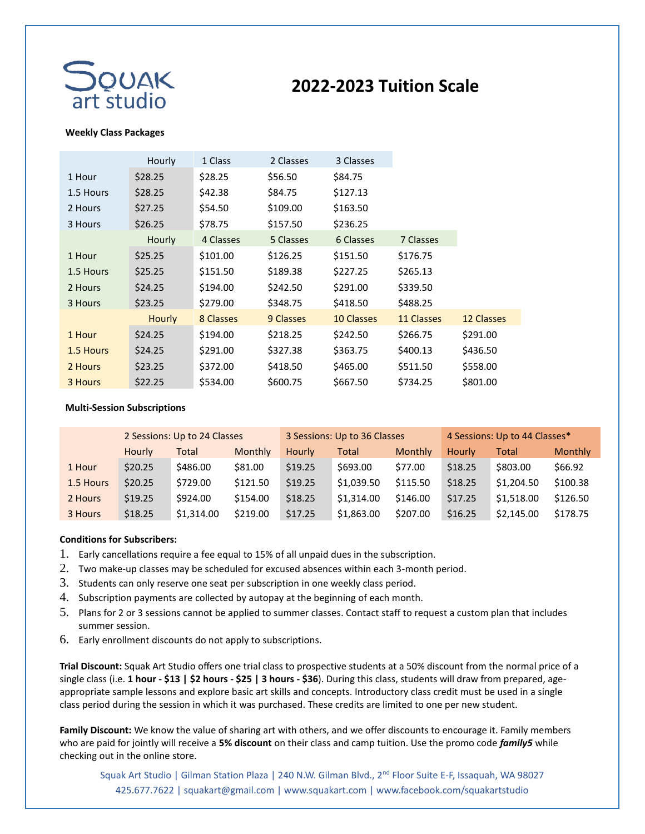

## **2022-2023 Tuition Scale**

## **Weekly Class Packages**

|           | Hourly        | 1 Class   | 3 Classes<br>2 Classes |                   |            |            |
|-----------|---------------|-----------|------------------------|-------------------|------------|------------|
| 1 Hour    | \$28.25       | \$28.25   | \$56.50                | \$84.75           |            |            |
| 1.5 Hours | \$28.25       | \$42.38   | \$84.75                | \$127.13          |            |            |
| 2 Hours   | \$27.25       | \$54.50   | \$109.00               | \$163.50          |            |            |
| 3 Hours   | \$26.25       | \$78.75   | \$157.50               | \$236.25          |            |            |
|           | Hourly        | 4 Classes | 5 Classes              | 6 Classes         | 7 Classes  |            |
| 1 Hour    | \$25.25       | \$101.00  | \$126.25               | \$151.50          | \$176.75   |            |
| 1.5 Hours | \$25.25       | \$151.50  | \$189.38               | \$227.25          | \$265.13   |            |
| 2 Hours   | \$24.25       | \$194.00  | \$242.50               | \$291.00          | \$339.50   |            |
| 3 Hours   | \$23.25       | \$279.00  | \$348.75               | \$418.50          | \$488.25   |            |
|           | <b>Hourly</b> | 8 Classes | 9 Classes              | <b>10 Classes</b> | 11 Classes | 12 Classes |
| 1 Hour    | \$24.25       | \$194.00  | \$218.25               | \$242.50          | \$266.75   | \$291.00   |
| 1.5 Hours | \$24.25       | \$291.00  | \$327.38               | \$363.75          | \$400.13   | \$436.50   |
| 2 Hours   | \$23.25       | \$372.00  | \$418.50               | \$465.00          | \$511.50   | \$558.00   |
| 3 Hours   | \$22.25       | \$534.00  | \$600.75               | \$667.50          | \$734.25   | \$801.00   |

## **Multi-Session Subscriptions**

|           | 2 Sessions: Up to 24 Classes |            |                | 3 Sessions: Up to 36 Classes |            |          | 4 Sessions: Up to 44 Classes* |            |                |
|-----------|------------------------------|------------|----------------|------------------------------|------------|----------|-------------------------------|------------|----------------|
|           | Hourly                       | Total      | <b>Monthly</b> | <b>Hourly</b>                | Total      | Monthly  | Hourly                        | Total      | <b>Monthly</b> |
| 1 Hour    | \$20.25                      | \$486.00   | \$81.00        | \$19.25                      | \$693.00   | \$77.00  | \$18.25                       | \$803.00   | \$66.92        |
| 1.5 Hours | \$20.25                      | \$729.00   | \$121.50       | \$19.25                      | \$1,039.50 | \$115.50 | \$18.25                       | \$1,204.50 | \$100.38       |
| 2 Hours   | \$19.25                      | \$924.00   | \$154.00       | \$18.25                      | \$1,314.00 | \$146.00 | \$17.25                       | \$1,518.00 | \$126.50       |
| 3 Hours   | \$18.25                      | \$1,314.00 | \$219.00       | \$17.25                      | \$1,863.00 | \$207.00 | \$16.25                       | \$2,145.00 | \$178.75       |

## **Conditions for Subscribers:**

- 1. Early cancellations require a fee equal to 15% of all unpaid dues in the subscription.
- 2. Two make-up classes may be scheduled for excused absences within each 3-month period.
- 3. Students can only reserve one seat per subscription in one weekly class period.
- 4. Subscription payments are collected by autopay at the beginning of each month.
- 5. Plans for 2 or 3 sessions cannot be applied to summer classes. Contact staff to request a custom plan that includes summer session.
- 6. Early enrollment discounts do not apply to subscriptions.

**Trial Discount:** Squak Art Studio offers one trial class to prospective students at a 50% discount from the normal price of a single class (i.e. **1 hour - \$13 | \$2 hours - \$25 | 3 hours - \$36**). During this class, students will draw from prepared, ageappropriate sample lessons and explore basic art skills and concepts. Introductory class credit must be used in a single class period during the session in which it was purchased. These credits are limited to one per new student.

**Family Discount:** We know the value of sharing art with others, and we offer discounts to encourage it. Family members who are paid for jointly will receive a **5% discount** on their class and camp tuition. Use the promo code *family5* while checking out in the online store.

Squak Art Studio | Gilman Station Plaza | 240 N.W. Gilman Blvd., 2<sup>nd</sup> Floor Suite E-F, Issaquah, WA 98027 425.677.7622 | squakart@gmail.com | www.squakart.com | www.facebook.com/squakartstudio